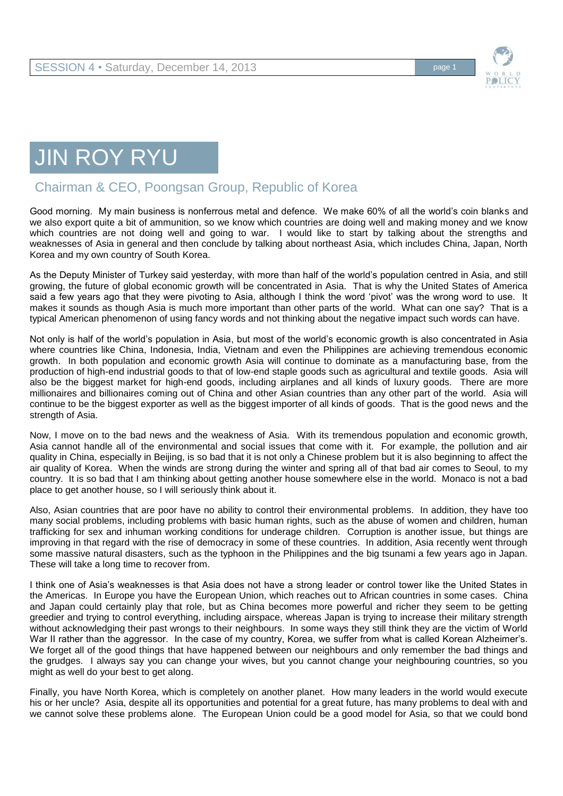

## JIN ROY RYU

## Chairman & CEO, Poongsan Group, Republic of Korea

Good morning. My main business is nonferrous metal and defence. We make 60% of all the world's coin blanks and we also export quite a bit of ammunition, so we know which countries are doing well and making money and we know which countries are not doing well and going to war. I would like to start by talking about the strengths and weaknesses of Asia in general and then conclude by talking about northeast Asia, which includes China, Japan, North Korea and my own country of South Korea.

As the Deputy Minister of Turkey said yesterday, with more than half of the world's population centred in Asia, and still growing, the future of global economic growth will be concentrated in Asia. That is why the United States of America said a few years ago that they were pivoting to Asia, although I think the word 'pivot' was the wrong word to use. It makes it sounds as though Asia is much more important than other parts of the world. What can one say? That is a typical American phenomenon of using fancy words and not thinking about the negative impact such words can have.

Not only is half of the world's population in Asia, but most of the world's economic growth is also concentrated in Asia where countries like China, Indonesia, India, Vietnam and even the Philippines are achieving tremendous economic growth. In both population and economic growth Asia will continue to dominate as a manufacturing base, from the production of high-end industrial goods to that of low-end staple goods such as agricultural and textile goods. Asia will also be the biggest market for high-end goods, including airplanes and all kinds of luxury goods. There are more millionaires and billionaires coming out of China and other Asian countries than any other part of the world. Asia will continue to be the biggest exporter as well as the biggest importer of all kinds of goods. That is the good news and the strength of Asia.

Now, I move on to the bad news and the weakness of Asia. With its tremendous population and economic growth, Asia cannot handle all of the environmental and social issues that come with it. For example, the pollution and air quality in China, especially in Beijing, is so bad that it is not only a Chinese problem but it is also beginning to affect the air quality of Korea. When the winds are strong during the winter and spring all of that bad air comes to Seoul, to my country. It is so bad that I am thinking about getting another house somewhere else in the world. Monaco is not a bad place to get another house, so I will seriously think about it.

Also, Asian countries that are poor have no ability to control their environmental problems. In addition, they have too many social problems, including problems with basic human rights, such as the abuse of women and children, human trafficking for sex and inhuman working conditions for underage children. Corruption is another issue, but things are improving in that regard with the rise of democracy in some of these countries. In addition, Asia recently went through some massive natural disasters, such as the typhoon in the Philippines and the big tsunami a few years ago in Japan. These will take a long time to recover from.

I think one of Asia's weaknesses is that Asia does not have a strong leader or control tower like the United States in the Americas. In Europe you have the European Union, which reaches out to African countries in some cases. China and Japan could certainly play that role, but as China becomes more powerful and richer they seem to be getting greedier and trying to control everything, including airspace, whereas Japan is trying to increase their military strength without acknowledging their past wrongs to their neighbours. In some ways they still think they are the victim of World War II rather than the aggressor. In the case of my country, Korea, we suffer from what is called Korean Alzheimer's. We forget all of the good things that have happened between our neighbours and only remember the bad things and the grudges. I always say you can change your wives, but you cannot change your neighbouring countries, so you might as well do your best to get along.

Finally, you have North Korea, which is completely on another planet. How many leaders in the world would execute his or her uncle? Asia, despite all its opportunities and potential for a great future, has many problems to deal with and we cannot solve these problems alone. The European Union could be a good model for Asia, so that we could bond